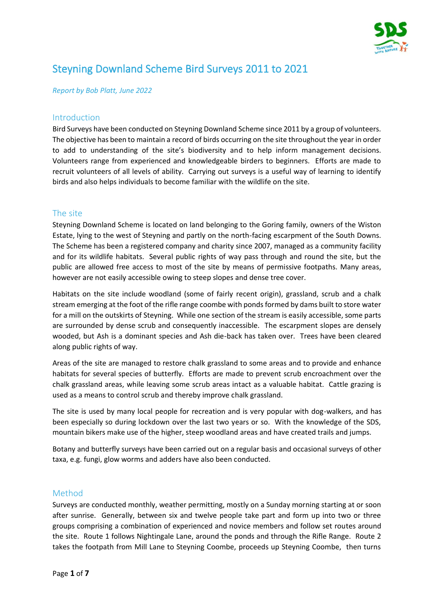

# Steyning Downland Scheme Bird Surveys 2011 to 2021

*Report by Bob Platt, June 2022*

#### Introduction

Bird Surveys have been conducted on Steyning Downland Scheme since 2011 by a group of volunteers. The objective has been to maintain a record of birds occurring on the site throughout the year in order to add to understanding of the site's biodiversity and to help inform management decisions. Volunteers range from experienced and knowledgeable birders to beginners. Efforts are made to recruit volunteers of all levels of ability. Carrying out surveys is a useful way of learning to identify birds and also helps individuals to become familiar with the wildlife on the site.

# The site

Steyning Downland Scheme is located on land belonging to the Goring family, owners of the Wiston Estate, lying to the west of Steyning and partly on the north-facing escarpment of the South Downs. The Scheme has been a registered company and charity since 2007, managed as a community facility and for its wildlife habitats. Several public rights of way pass through and round the site, but the public are allowed free access to most of the site by means of permissive footpaths. Many areas, however are not easily accessible owing to steep slopes and dense tree cover.

Habitats on the site include woodland (some of fairly recent origin), grassland, scrub and a chalk stream emerging at the foot of the rifle range coombe with ponds formed by dams built to store water for a mill on the outskirts of Steyning. While one section of the stream is easily accessible, some parts are surrounded by dense scrub and consequently inaccessible. The escarpment slopes are densely wooded, but Ash is a dominant species and Ash die-back has taken over. Trees have been cleared along public rights of way.

Areas of the site are managed to restore chalk grassland to some areas and to provide and enhance habitats for several species of butterfly. Efforts are made to prevent scrub encroachment over the chalk grassland areas, while leaving some scrub areas intact as a valuable habitat. Cattle grazing is used as a means to control scrub and thereby improve chalk grassland.

The site is used by many local people for recreation and is very popular with dog-walkers, and has been especially so during lockdown over the last two years or so. With the knowledge of the SDS, mountain bikers make use of the higher, steep woodland areas and have created trails and jumps.

Botany and butterfly surveys have been carried out on a regular basis and occasional surveys of other taxa, e.g. fungi, glow worms and adders have also been conducted.

# Method

Surveys are conducted monthly, weather permitting, mostly on a Sunday morning starting at or soon after sunrise. Generally, between six and twelve people take part and form up into two or three groups comprising a combination of experienced and novice members and follow set routes around the site. Route 1 follows Nightingale Lane, around the ponds and through the Rifle Range. Route 2 takes the footpath from Mill Lane to Steyning Coombe, proceeds up Steyning Coombe, then turns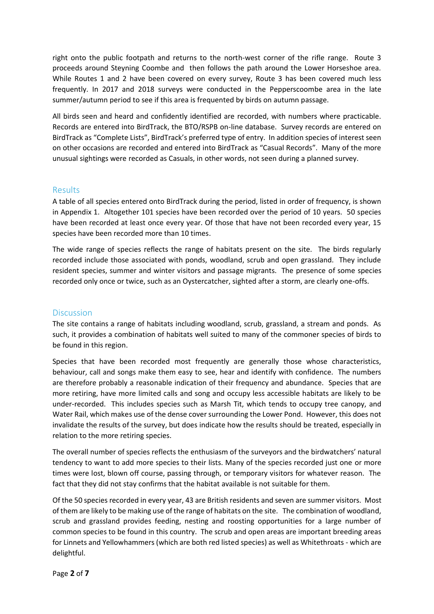right onto the public footpath and returns to the north-west corner of the rifle range. Route 3 proceeds around Steyning Coombe and then follows the path around the Lower Horseshoe area. While Routes 1 and 2 have been covered on every survey, Route 3 has been covered much less frequently. In 2017 and 2018 surveys were conducted in the Pepperscoombe area in the late summer/autumn period to see if this area is frequented by birds on autumn passage.

All birds seen and heard and confidently identified are recorded, with numbers where practicable. Records are entered into BirdTrack, the BTO/RSPB on-line database. Survey records are entered on BirdTrack as "Complete Lists", BirdTrack's preferred type of entry. In addition species of interest seen on other occasions are recorded and entered into BirdTrack as "Casual Records". Many of the more unusual sightings were recorded as Casuals, in other words, not seen during a planned survey.

# Results

A table of all species entered onto BirdTrack during the period, listed in order of frequency, is shown in Appendix 1. Altogether 101 species have been recorded over the period of 10 years. 50 species have been recorded at least once every year. Of those that have not been recorded every year, 15 species have been recorded more than 10 times.

The wide range of species reflects the range of habitats present on the site. The birds regularly recorded include those associated with ponds, woodland, scrub and open grassland. They include resident species, summer and winter visitors and passage migrants. The presence of some species recorded only once or twice, such as an Oystercatcher, sighted after a storm, are clearly one-offs.

#### **Discussion**

The site contains a range of habitats including woodland, scrub, grassland, a stream and ponds. As such, it provides a combination of habitats well suited to many of the commoner species of birds to be found in this region.

Species that have been recorded most frequently are generally those whose characteristics, behaviour, call and songs make them easy to see, hear and identify with confidence. The numbers are therefore probably a reasonable indication of their frequency and abundance. Species that are more retiring, have more limited calls and song and occupy less accessible habitats are likely to be under-recorded. This includes species such as Marsh Tit, which tends to occupy tree canopy, and Water Rail, which makes use of the dense cover surrounding the Lower Pond. However, this does not invalidate the results of the survey, but does indicate how the results should be treated, especially in relation to the more retiring species.

The overall number of species reflects the enthusiasm of the surveyors and the birdwatchers' natural tendency to want to add more species to their lists. Many of the species recorded just one or more times were lost, blown off course, passing through, or temporary visitors for whatever reason. The fact that they did not stay confirms that the habitat available is not suitable for them.

Of the 50 species recorded in every year, 43 are British residents and seven are summer visitors. Most of them are likely to be making use of the range of habitats on the site. The combination of woodland, scrub and grassland provides feeding, nesting and roosting opportunities for a large number of common species to be found in this country. The scrub and open areas are important breeding areas for Linnets and Yellowhammers (which are both red listed species) as well as Whitethroats - which are delightful.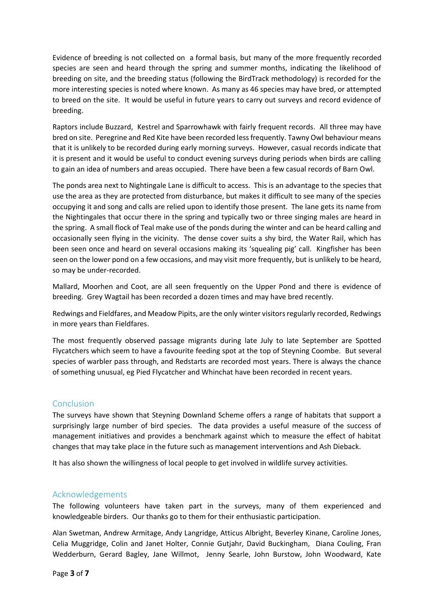Evidence of breeding is not collected on a formal basis, but many of the more frequently recorded species are seen and heard through the spring and summer months, indicating the likelihood of breeding on site, and the breeding status (following the BirdTrack methodology) is recorded for the more interesting species is noted where known. As many as 46 species may have bred, or attempted to breed on the site. It would be useful in future years to carry out surveys and record evidence of breeding.

Raptors include Buzzard, Kestrel and Sparrowhawk with fairly frequent records. All three may have bred on site. Peregrine and Red Kite have been recorded less frequently. Tawny Owl behaviour means that it is unlikely to be recorded during early morning surveys. However, casual records indicate that it is present and it would be useful to conduct evening surveys during periods when birds are calling to gain an idea of numbers and areas occupied. There have been a few casual records of Barn Owl.

The ponds area next to Nightingale Lane is difficult to access. This is an advantage to the species that use the area as they are protected from disturbance, but makes it difficult to see many of the species occupying it and song and calls are relied upon to identify those present. The lane gets its name from the Nightingales that occur there in the spring and typically two or three singing males are heard in the spring. A small flock of Teal make use of the ponds during the winter and can be heard calling and occasionally seen flying in the vicinity. The dense cover suits a shy bird, the Water Rail, which has been seen once and heard on several occasions making its 'squealing pig' call. Kingfisher has been seen on the lower pond on a few occasions, and may visit more frequently, but is unlikely to be heard, so may be under-recorded.

Mallard, Moorhen and Coot, are all seen frequently on the Upper Pond and there is evidence of breeding. Grey Wagtail has been recorded a dozen times and may have bred recently.

Redwings and Fieldfares, and Meadow Pipits, are the only winter visitors regularly recorded, Redwings in more years than Fieldfares.

The most frequently observed passage migrants during late July to late September are Spotted Flycatchers which seem to have a favourite feeding spot at the top of Steyning Coombe. But several species of warbler pass through, and Redstarts are recorded most years. There is always the chance of something unusual, eg Pied Flycatcher and Whinchat have been recorded in recent years.

# Conclusion

The surveys have shown that Steyning Downland Scheme offers a range of habitats that support a surprisingly large number of bird species. The data provides a useful measure of the success of management initiatives and provides a benchmark against which to measure the effect of habitat changes that may take place in the future such as management interventions and Ash Dieback.

It has also shown the willingness of local people to get involved in wildlife survey activities.

#### Acknowledgements

The following volunteers have taken part in the surveys, many of them experienced and knowledgeable birders. Our thanks go to them for their enthusiastic participation.

Alan Swetman, Andrew Armitage, Andy Langridge, Atticus Albright, Beverley Kinane, Caroline Jones, Celia Muggridge, Colin and Janet Holter, Connie Gutjahr, David Buckingham, Diana Couling, Fran Wedderburn, Gerard Bagley, Jane Willmot, Jenny Searle, John Burstow, John Woodward, Kate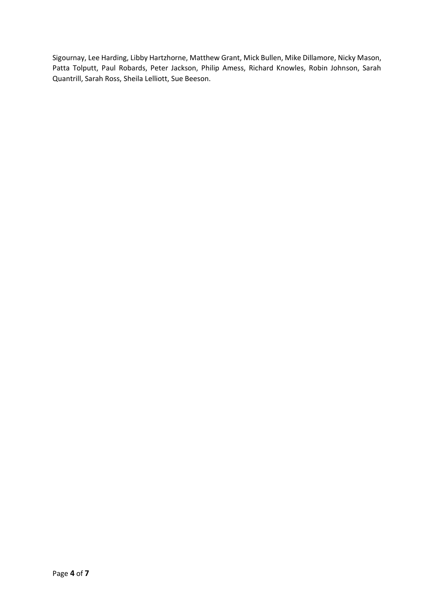Sigournay, Lee Harding, Libby Hartzhorne, Matthew Grant, Mick Bullen, Mike Dillamore, Nicky Mason, Patta Tolputt, Paul Robards, Peter Jackson, Philip Amess, Richard Knowles, Robin Johnson, Sarah Quantrill, Sarah Ross, Sheila Lelliott, Sue Beeson.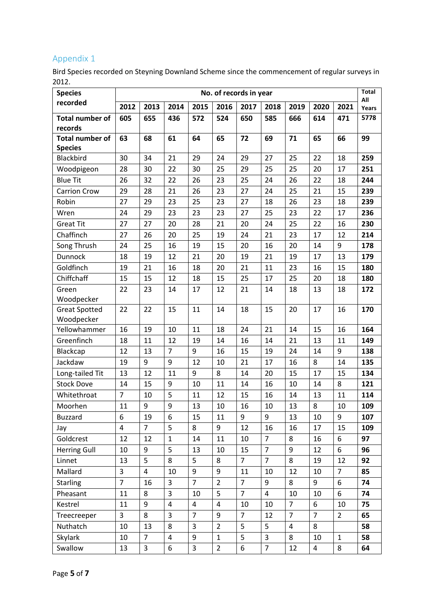# Appendix 1

Bird Species recorded on Steyning Downland Scheme since the commencement of regular surveys in 2012.

| <b>Species</b>             | No. of records in year |                |                |                |                |                |                |                |                |                | <b>Total</b> |
|----------------------------|------------------------|----------------|----------------|----------------|----------------|----------------|----------------|----------------|----------------|----------------|--------------|
| recorded                   | 2012                   | 2013           | 2014           | 2015           | 2016           | 2017           | 2018           | 2019           | 2020           | 2021           | All<br>Years |
| <b>Total number of</b>     | 605                    | 655            | 436            | 572            | 524            | 650            | 585            | 666            | 614            | 471            | 5778         |
| records                    |                        |                |                |                |                |                |                |                |                |                |              |
| <b>Total number of</b>     | 63                     | 68             | 61             | 64             | 65             | 72             | 69             | 71             | 65             | 66             | 99           |
| <b>Species</b>             |                        |                |                |                |                |                |                |                |                |                |              |
| Blackbird                  | 30                     | 34             | 21             | 29             | 24             | 29             | 27             | 25             | 22             | 18             | 259          |
| Woodpigeon                 | 28                     | 30             | 22             | 30             | 25             | 29             | 25             | 25             | 20             | 17             | 251          |
| <b>Blue Tit</b>            | 26                     | 32             | 22             | 26             | 23             | 25             | 24             | 26             | 22             | 18             | 244          |
| <b>Carrion Crow</b>        | 29                     | 28             | 21             | 26             | 23             | 27             | 24             | 25             | 21             | 15             | 239          |
| Robin                      | 27                     | 29             | 23             | 25             | 23             | 27             | 18             | 26             | 23             | 18             | 239          |
| Wren                       | 24                     | 29             | 23             | 23             | 23             | 27             | 25             | 23             | 22             | 17             | 236          |
| <b>Great Tit</b>           | 27                     | 27             | 20             | 28             | 21             | 20             | 24             | 25             | 22             | 16             | 230          |
| Chaffinch                  | 27                     | 26             | 20             | 25             | 19             | 24             | 21             | 23             | 17             | 12             | 214          |
| Song Thrush                | 24                     | 25             | 16             | 19             | 15             | 20             | 16             | 20             | 14             | 9              | 178          |
| Dunnock                    | 18                     | 19             | 12             | 21             | 20             | 19             | 21             | 19             | 17             | 13             | 179          |
| Goldfinch                  | 19                     | 21             | 16             | 18             | 20             | 21             | 11             | 23             | 16             | 15             | 180          |
| Chiffchaff                 | 15                     | 15             | 12             | 18             | 15             | 25             | 17             | 25             | 20             | 18             | 180          |
| Green                      | 22                     | 23             | 14             | 17             | 12             | 21             | 14             | 18             | 13             | 18             | 172          |
| Woodpecker                 |                        |                |                |                |                |                |                |                |                |                |              |
| <b>Great Spotted</b>       | 22                     | 22             | 15             | 11             | 14             | 18             | 15             | 20             | 17             | 16             | 170          |
| Woodpecker<br>Yellowhammer | 16                     | 19             | 10             | 11             | 18             | 24             | 21             | 14             | 15             | 16             | 164          |
| Greenfinch                 |                        |                | 12             |                |                |                |                |                |                |                |              |
|                            | 18                     | 11             | $\overline{7}$ | 19             | 14             | 16             | 14             | 21             | 13             | 11             | 149          |
| Blackcap                   | 12                     | 13             |                | 9              | 16             | 15             | 19             | 24             | 14             | 9              | 138          |
| Jackdaw                    | 19                     | 9              | 9              | 12             | 10             | 21             | 17             | 16             | 8              | 14             | 135          |
| Long-tailed Tit            | 13                     | 12             | 11             | 9              | 8              | 14             | 20             | 15             | 17             | 15             | 134          |
| <b>Stock Dove</b>          | 14                     | 15             | 9              | 10             | 11             | 14             | 16             | 10             | 14             | 8              | 121          |
| Whitethroat                | $\overline{7}$         | 10             | 5              | 11             | 12             | 15             | 16             | 14             | 13             | 11             | 114          |
| Moorhen                    | 11                     | 9              | 9              | 13             | 10             | 16             | 10             | 13             | 8              | 10             | 109          |
| <b>Buzzard</b>             | 6                      | 19             | 6              | 15             | 11             | 9              | 9              | 13             | 10             | 9              | 107          |
| Jay                        | 4                      | $\overline{7}$ | 5              | 8              | 9              | 12             | 16             | 16             | 17             | 15             | 109          |
| Goldcrest                  | 12                     | 12             | $\mathbf{1}$   | 14             | 11             | 10             | $\overline{7}$ | 8              | 16             | 6              | 97           |
| <b>Herring Gull</b>        | 10                     | 9              | 5              | 13             | 10             | 15             | $\overline{7}$ | 9              | 12             | 6              | 96           |
| Linnet                     | 13                     | 5              | 8              | 5              | 8              | $\overline{7}$ | $\overline{7}$ | 8              | 19             | 12             | 92           |
| Mallard                    | 3                      | $\overline{4}$ | 10             | 9              | 9              | 11             | 10             | 12             | 10             | $\overline{7}$ | 85           |
| <b>Starling</b>            | $\overline{7}$         | 16             | 3              | $\overline{7}$ | $\overline{2}$ | $\overline{7}$ | 9              | 8              | 9              | 6              | 74           |
| Pheasant                   | 11                     | 8              | 3              | 10             | 5              | $\overline{7}$ | $\overline{4}$ | 10             | 10             | 6              | 74           |
| Kestrel                    | 11                     | 9              | 4              | 4              | 4              | 10             | 10             | $\overline{7}$ | 6              | 10             | 75           |
| Treecreeper                | $\overline{3}$         | 8              | 3              | $\overline{7}$ | 9              | $\overline{7}$ | 12             | $\overline{7}$ | $\overline{7}$ | $\overline{2}$ | 65           |
| Nuthatch                   | 10                     | 13             | 8              | 3              | $\overline{2}$ | 5              | 5              | $\overline{4}$ | 8              |                | 58           |
| <b>Skylark</b>             | 10                     | $\overline{7}$ | 4              | 9              | $\mathbf{1}$   | 5              | $\mathbf{3}$   | 8              | 10             | $\mathbf{1}$   | 58           |
| Swallow                    | 13                     | 3              | 6              | 3              | $\overline{2}$ | 6              | $\overline{7}$ | 12             | 4              | 8              | 64           |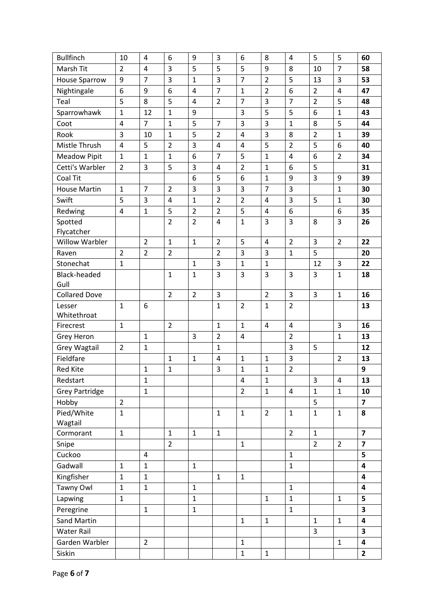| <b>Bullfinch</b>            | 10             | 4              | 6              | 9              | 3              | 6              | 8              | 4              | 5              | 5              | 60                      |
|-----------------------------|----------------|----------------|----------------|----------------|----------------|----------------|----------------|----------------|----------------|----------------|-------------------------|
| Marsh Tit                   | $\overline{2}$ | $\overline{4}$ | 3              | 5              | 5              | 5              | 9              | 8              | 10             | 7              | 58                      |
| <b>House Sparrow</b>        | 9              | $\overline{7}$ | 3              | $\mathbf{1}$   | 3              | $\overline{7}$ | $\overline{2}$ | 5              | 13             | 3              | 53                      |
| Nightingale                 | 6              | 9              | 6              | 4              | $\overline{7}$ | $\mathbf{1}$   | $\overline{2}$ | 6              | $\overline{2}$ | 4              | 47                      |
| Teal                        | 5              | 8              | 5              | 4              | $\overline{2}$ | $\overline{7}$ | 3              | $\overline{7}$ | $\overline{2}$ | 5              | 48                      |
| Sparrowhawk                 | $\mathbf{1}$   | 12             | $\mathbf{1}$   | 9              |                | 3              | 5              | 5              | 6              | $\mathbf{1}$   | 43                      |
| Coot                        | 4              | $\overline{7}$ | $\mathbf{1}$   | 5              | $\overline{7}$ | 3              | 3              | $\mathbf{1}$   | 8              | 5              | 44                      |
| Rook                        | 3              | 10             | $\mathbf{1}$   | 5              | $\overline{2}$ | 4              | 3              | 8              | $\overline{2}$ | $\mathbf{1}$   | 39                      |
| Mistle Thrush               | $\overline{4}$ | 5              | $\overline{2}$ | 3              | 4              | 4              | 5              | $\overline{2}$ | 5              | 6              | 40                      |
| <b>Meadow Pipit</b>         | $\mathbf 1$    | $\mathbf{1}$   | $\mathbf{1}$   | 6              | $\overline{7}$ | 5              | $\mathbf{1}$   | 4              | 6              | 2              | 34                      |
| Cetti's Warbler             | $\overline{2}$ | 3              | 5              | 3              | 4              | $\overline{2}$ | $\mathbf{1}$   | 6              | 5              |                | 31                      |
| Coal Tit                    |                |                |                | 6              | 5              | 6              | $\mathbf{1}$   | 9              | 3              | 9              | 39                      |
| <b>House Martin</b>         | $\mathbf{1}$   | $\overline{7}$ | $\overline{2}$ | 3              | 3              | 3              | $\overline{7}$ | 3              |                | 1              | 30                      |
| Swift                       | 5              | 3              | $\overline{4}$ | $\mathbf 1$    | $\overline{2}$ | $\overline{2}$ | $\overline{4}$ | 3              | 5              | 1              | 30                      |
| Redwing                     | 4              | $\mathbf{1}$   | 5              | $\overline{2}$ | $\overline{2}$ | 5              | 4              | 6              |                | 6              | 35                      |
| Spotted                     |                |                | $\overline{2}$ | $\overline{2}$ | $\overline{4}$ | $\mathbf{1}$   | 3              | 3              | 8              | 3              | 26                      |
| Flycatcher                  |                |                |                |                |                |                |                |                |                |                |                         |
| <b>Willow Warbler</b>       |                | $\overline{2}$ | $\mathbf{1}$   | $\mathbf{1}$   | $\overline{2}$ | 5              | $\overline{4}$ | $\overline{2}$ | 3              | $\overline{2}$ | 22                      |
| Raven                       | $\overline{2}$ | $\overline{2}$ | $\overline{2}$ |                | $\overline{2}$ | 3              | 3              | $\mathbf 1$    | 5              |                | 20                      |
| Stonechat                   | $\mathbf{1}$   |                |                | $\mathbf 1$    | 3              | $\mathbf 1$    | $\mathbf{1}$   |                | 12             | 3              | 22                      |
| <b>Black-headed</b><br>Gull |                |                | $\mathbf{1}$   | $\mathbf 1$    | 3              | 3              | 3              | 3              | 3              | $\mathbf{1}$   | 18                      |
| <b>Collared Dove</b>        |                |                | $\overline{2}$ | $\overline{2}$ | 3              |                | $\overline{2}$ | 3              | 3              | $\mathbf{1}$   | 16                      |
| Lesser                      | $\mathbf{1}$   | 6              |                |                | $\mathbf{1}$   | $\overline{2}$ | $\mathbf{1}$   | $\overline{2}$ |                |                | 13                      |
| Whitethroat                 |                |                |                |                |                |                |                |                |                |                |                         |
| Firecrest                   | $\mathbf{1}$   |                | $\overline{2}$ |                | $\mathbf{1}$   | $\mathbf{1}$   | $\overline{4}$ | 4              |                | 3              | 16                      |
| Grey Heron                  |                | $\mathbf{1}$   |                | 3              | $\overline{2}$ | 4              |                | $\overline{2}$ |                | 1              | 13                      |
| <b>Grey Wagtail</b>         | $\overline{2}$ | $\mathbf 1$    |                |                | $\mathbf{1}$   |                |                | 3              | 5              |                | 12                      |
| Fieldfare                   |                |                | $\mathbf{1}$   | $\mathbf{1}$   | $\overline{4}$ | $\mathbf 1$    | $\mathbf{1}$   | 3              |                | $\overline{2}$ | 13                      |
| <b>Red Kite</b>             |                | $\mathbf{1}$   | $\mathbf{1}$   |                | 3              | $\mathbf{1}$   | $\mathbf{1}$   | $\overline{2}$ |                |                | 9                       |
| Redstart                    |                | 1              |                |                |                | 4              | 1              |                | 3              | 4              | 13                      |
| <b>Grey Partridge</b>       |                | $\mathbf{1}$   |                |                |                | $\overline{2}$ | $\mathbf{1}$   | 4              | $\mathbf{1}$   | $\mathbf{1}$   | 10                      |
| Hobby                       | $\overline{2}$ |                |                |                |                |                |                |                | 5              |                | $\overline{\mathbf{z}}$ |
| Pied/White                  | $\mathbf{1}$   |                |                |                | $\mathbf{1}$   | $\mathbf{1}$   | $\overline{2}$ | $\mathbf{1}$   | $\mathbf{1}$   | $\mathbf{1}$   | 8                       |
| Wagtail<br>Cormorant        | $\mathbf{1}$   |                | $\mathbf{1}$   | $\mathbf{1}$   | $\mathbf{1}$   |                |                | $\overline{2}$ | $\mathbf{1}$   |                | $\overline{\mathbf{z}}$ |
| Snipe                       |                |                | $\overline{2}$ |                |                | $\mathbf{1}$   |                |                | $\overline{2}$ | $\overline{2}$ | $\overline{\mathbf{z}}$ |
| Cuckoo                      |                | $\overline{4}$ |                |                |                |                |                | $\mathbf{1}$   |                |                | 5                       |
| Gadwall                     | $\mathbf{1}$   | $\mathbf{1}$   |                | $\mathbf{1}$   |                |                |                | $\mathbf{1}$   |                |                | 4                       |
| Kingfisher                  | $\mathbf{1}$   | $\mathbf{1}$   |                |                | $\mathbf{1}$   | $\mathbf{1}$   |                |                |                |                | $\overline{\mathbf{4}}$ |
| Tawny Owl                   | $\mathbf{1}$   | $\mathbf{1}$   |                | $\mathbf{1}$   |                |                |                | $\mathbf{1}$   |                |                | 4                       |
| Lapwing                     | $\mathbf{1}$   |                |                | $\mathbf{1}$   |                |                | $\mathbf{1}$   | $\mathbf{1}$   |                | $\mathbf{1}$   | 5                       |
| Peregrine                   |                | $\mathbf{1}$   |                | $\mathbf{1}$   |                |                |                | $\mathbf{1}$   |                |                | 3                       |
| Sand Martin                 |                |                |                |                |                | $\mathbf{1}$   | $\mathbf{1}$   |                | $\mathbf{1}$   | $\mathbf{1}$   | 4                       |
| <b>Water Rail</b>           |                |                |                |                |                |                |                |                | 3              |                | 3                       |
| Garden Warbler              |                | $\overline{2}$ |                |                |                | $\mathbf{1}$   |                |                |                | $\mathbf{1}$   | $\overline{\mathbf{4}}$ |
| Siskin                      |                |                |                |                |                | $\mathbf 1$    | $\mathbf 1$    |                |                |                | $\overline{2}$          |
|                             |                |                |                |                |                |                |                |                |                |                |                         |